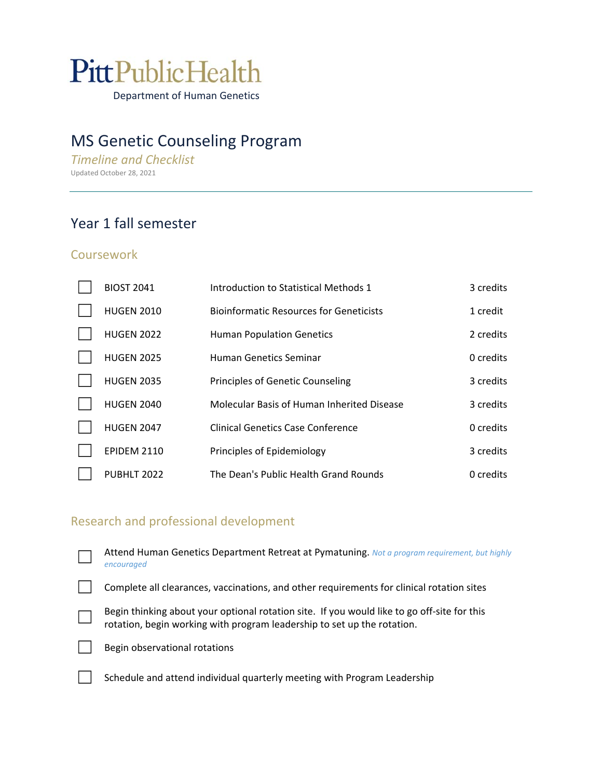# PittPublicHealth

Department of Human Genetics

## MS Genetic Counseling Program

*Timeline and Checklist* Updated October 28, 2021

## Year 1 fall semester

#### **Coursework**

| <b>BIOST 2041</b>  | Introduction to Statistical Methods 1          | 3 credits |
|--------------------|------------------------------------------------|-----------|
| <b>HUGEN 2010</b>  | <b>Bioinformatic Resources for Geneticists</b> | 1 credit  |
| <b>HUGEN 2022</b>  | <b>Human Population Genetics</b>               | 2 credits |
| <b>HUGEN 2025</b>  | Human Genetics Seminar                         | 0 credits |
| <b>HUGEN 2035</b>  | <b>Principles of Genetic Counseling</b>        | 3 credits |
| <b>HUGEN 2040</b>  | Molecular Basis of Human Inherited Disease     | 3 credits |
| <b>HUGEN 2047</b>  | Clinical Genetics Case Conference              | 0 credits |
| <b>EPIDEM 2110</b> | Principles of Epidemiology                     | 3 credits |
| PUBHLT 2022        | The Dean's Public Health Grand Rounds          | 0 credits |

## Research and professional development

| Attend Human Genetics Department Retreat at Pymatuning. Not a program requirement, but highly<br>encouraged                                                            |
|------------------------------------------------------------------------------------------------------------------------------------------------------------------------|
| Complete all clearances, vaccinations, and other requirements for clinical rotation sites                                                                              |
| Begin thinking about your optional rotation site. If you would like to go off-site for this<br>rotation, begin working with program leadership to set up the rotation. |
| Begin observational rotations                                                                                                                                          |
| Schedule and attend individual quarterly meeting with Program Leadership                                                                                               |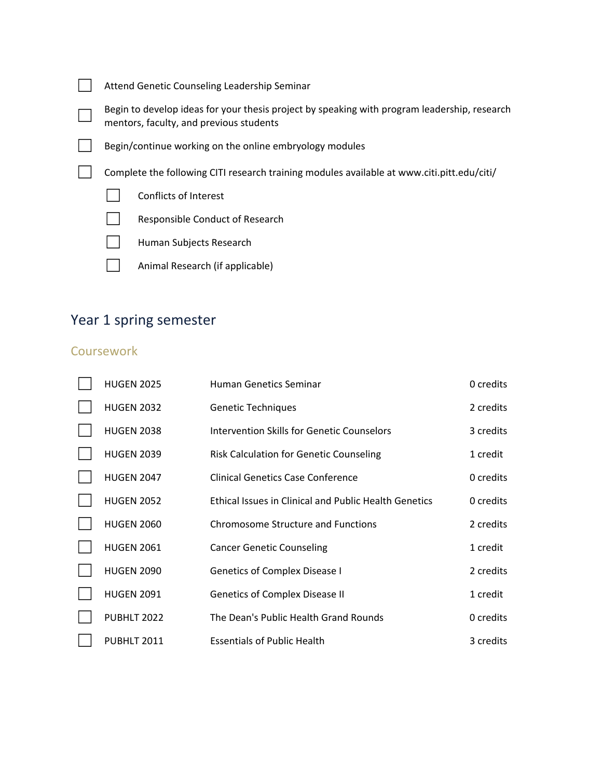| Attend Genetic Counseling Leadership Seminar                                               |                                                                                                                                         |  |  |
|--------------------------------------------------------------------------------------------|-----------------------------------------------------------------------------------------------------------------------------------------|--|--|
|                                                                                            | Begin to develop ideas for your thesis project by speaking with program leadership, research<br>mentors, faculty, and previous students |  |  |
| Begin/continue working on the online embryology modules                                    |                                                                                                                                         |  |  |
| Complete the following CITI research training modules available at www.citi.pitt.edu/citi/ |                                                                                                                                         |  |  |
|                                                                                            | Conflicts of Interest                                                                                                                   |  |  |
|                                                                                            | Responsible Conduct of Research                                                                                                         |  |  |
|                                                                                            | Human Subjects Research                                                                                                                 |  |  |

□ Animal Research (if applicable)

# Year 1 spring semester

## **Coursework**

| <b>HUGEN 2025</b> | <b>Human Genetics Seminar</b>                                | 0 credits |
|-------------------|--------------------------------------------------------------|-----------|
| <b>HUGEN 2032</b> | <b>Genetic Techniques</b>                                    | 2 credits |
| <b>HUGEN 2038</b> | <b>Intervention Skills for Genetic Counselors</b>            | 3 credits |
| <b>HUGEN 2039</b> | <b>Risk Calculation for Genetic Counseling</b>               | 1 credit  |
| <b>HUGEN 2047</b> | <b>Clinical Genetics Case Conference</b>                     | 0 credits |
| <b>HUGEN 2052</b> | <b>Ethical Issues in Clinical and Public Health Genetics</b> | 0 credits |
| <b>HUGEN 2060</b> | <b>Chromosome Structure and Functions</b>                    | 2 credits |
| <b>HUGEN 2061</b> | <b>Cancer Genetic Counseling</b>                             | 1 credit  |
| <b>HUGEN 2090</b> | <b>Genetics of Complex Disease I</b>                         | 2 credits |
| <b>HUGEN 2091</b> | <b>Genetics of Complex Disease II</b>                        | 1 credit  |
| PUBHLT 2022       | The Dean's Public Health Grand Rounds                        | 0 credits |
| PUBHLT 2011       | <b>Essentials of Public Health</b>                           | 3 credits |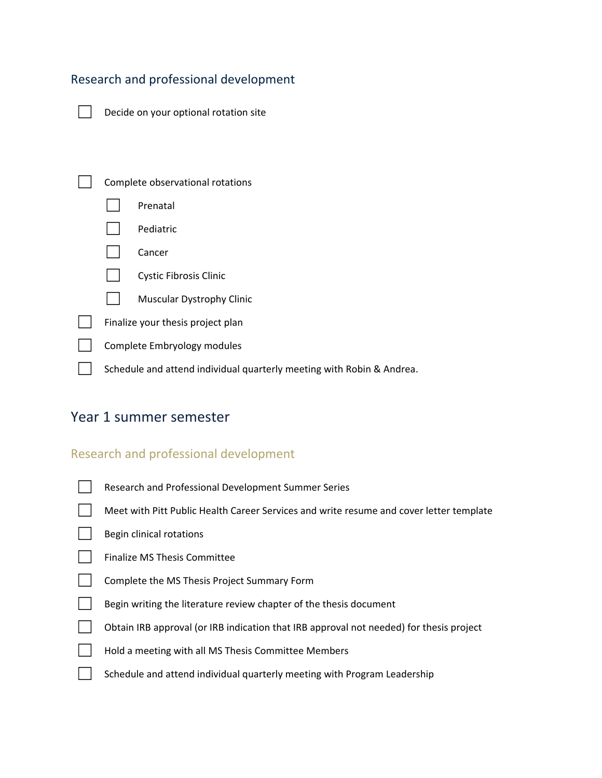## Research and professional development

| $\Box$ Decide on your optional rotation site |
|----------------------------------------------|
|----------------------------------------------|

| Complete observational rotations                                      |                                   |
|-----------------------------------------------------------------------|-----------------------------------|
|                                                                       | Prenatal                          |
|                                                                       | Pediatric                         |
|                                                                       | Cancer                            |
|                                                                       | <b>Cystic Fibrosis Clinic</b>     |
|                                                                       | <b>Muscular Dystrophy Clinic</b>  |
|                                                                       | Finalize your thesis project plan |
|                                                                       | Complete Embryology modules       |
| Schedule and attend individual quarterly meeting with Robin & Andrea. |                                   |

## Year 1 summer semester

#### Research and professional development

|  | Research and Professional Development Summer Series |  |
|--|-----------------------------------------------------|--|
|--|-----------------------------------------------------|--|

| Meet with Pitt Public Health Career Services and write resume and cover letter template |
|-----------------------------------------------------------------------------------------|
|-----------------------------------------------------------------------------------------|

- Begin clinical rotations
- Finalize MS Thesis Committee
- ◯ Complete the MS Thesis Project Summary Form
	- Begin writing the literature review chapter of the thesis document
	- ☐ Obtain IRB approval (or IRB indication that IRB approval not needed) for thesis project
	- Hold a meeting with all MS Thesis Committee Members
- □ Schedule and attend individual quarterly meeting with Program Leadership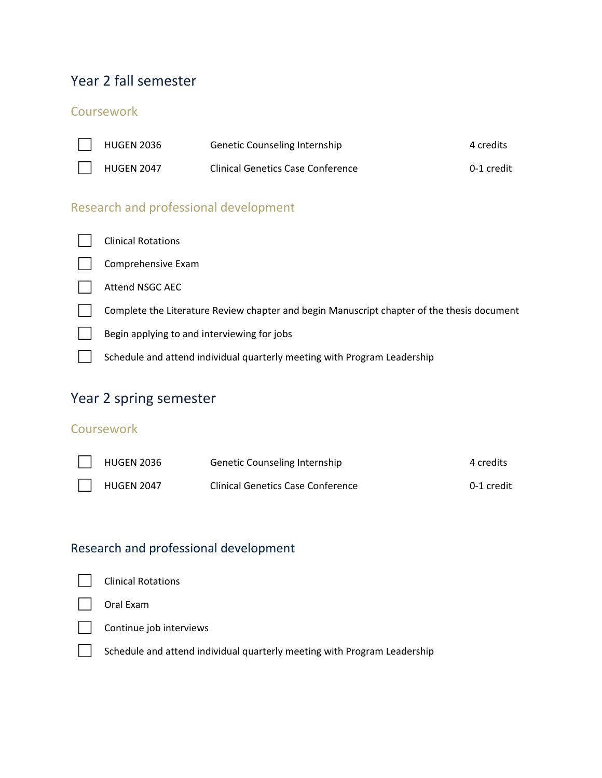## Year 2 fall semester

#### **Coursework**

| <b>HUGEN 2036</b> | Genetic Counseling Internship            | 4 credits  |
|-------------------|------------------------------------------|------------|
| <b>HUGEN 2047</b> | <b>Clinical Genetics Case Conference</b> | 0-1 credit |

### Research and professional development



## Year 2 spring semester

#### **Coursework**

| <b>HUGEN 2036</b> | <b>Genetic Counseling Internship</b>     | 4 credits  |
|-------------------|------------------------------------------|------------|
| <b>HUGEN 2047</b> | <b>Clinical Genetics Case Conference</b> | 0-1 credit |

## Research and professional development



☐ Schedule and attend individual quarterly meeting with Program Leadership